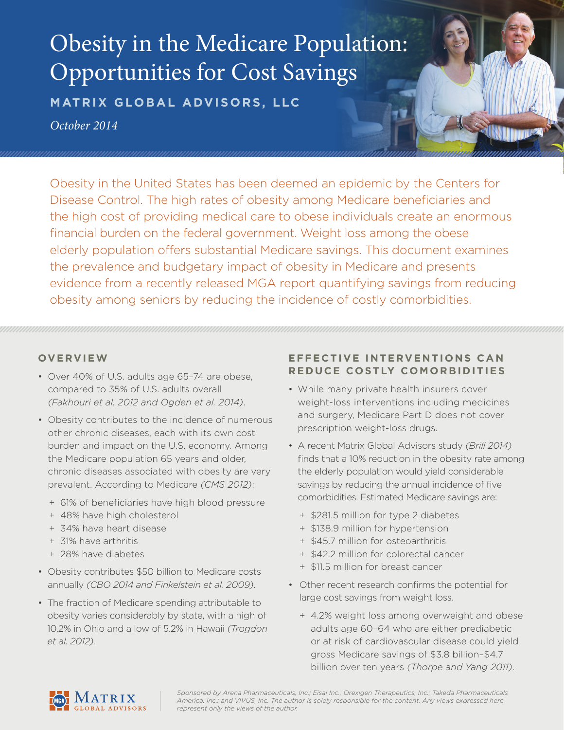# Obesity in the Medicare Population: Opportunities for Cost Savings

**MATRIX GLOBAL ADVISORS, LLC**

*October 2014*

Obesity in the United States has been deemed an epidemic by the Centers for Disease Control. The high rates of obesity among Medicare beneficiaries and the high cost of providing medical care to obese individuals create an enormous financial burden on the federal government. Weight loss among the obese elderly population offers substantial Medicare savings. This document examines the prevalence and budgetary impact of obesity in Medicare and presents evidence from a recently released MGA report quantifying savings from reducing obesity among seniors by reducing the incidence of costly comorbidities.

## **OVERVIEW**

- Over 40% of U.S. adults age 65–74 are obese, compared to 35% of U.S. adults overall *(Fakhouri et al. 2012 and Ogden et al. 2014)*.
- Obesity contributes to the incidence of numerous other chronic diseases, each with its own cost burden and impact on the U.S. economy. Among the Medicare population 65 years and older, chronic diseases associated with obesity are very prevalent. According to Medicare *(CMS 2012)*:
	- + 61% of beneficiaries have high blood pressure
	- + 48% have high cholesterol
	- + 34% have heart disease
	- + 31% have arthritis
	- + 28% have diabetes
- Obesity contributes \$50 billion to Medicare costs annually *(CBO 2014 and Finkelstein et al. 2009)*.
- The fraction of Medicare spending attributable to obesity varies considerably by state, with a high of 10.2% in Ohio and a low of 5.2% in Hawaii *(Trogdon et al. 2012).*

## **EFFECTIVE INTERVENTIONS CAN REDUCE COSTLY COMORBIDITIES**

- While many private health insurers cover weight-loss interventions including medicines and surgery, Medicare Part D does not cover prescription weight-loss drugs.
- A recent Matrix Global Advisors study *(Brill 2014)*  finds that a 10% reduction in the obesity rate among the elderly population would yield considerable savings by reducing the annual incidence of five comorbidities. Estimated Medicare savings are:
	- + \$281.5 million for type 2 diabetes
	- + \$138.9 million for hypertension
	- + \$45.7 million for osteoarthritis
	- + \$42.2 million for colorectal cancer
	- + \$11.5 million for breast cancer
- Other recent research confirms the potential for large cost savings from weight loss.
	- + 4.2% weight loss among overweight and obese adults age 60–64 who are either prediabetic or at risk of cardiovascular disease could yield gross Medicare savings of \$3.8 billion–\$4.7 billion over ten years *(Thorpe and Yang 2011)*.



*Sponsored by Arena Pharmaceuticals, Inc.; Eisai Inc.; Orexigen Therapeutics, Inc.; Takeda Pharmaceuticals America, Inc.; and VIVUS, Inc. The author is solely responsible for the content. Any views expressed here represent only the views of the author.*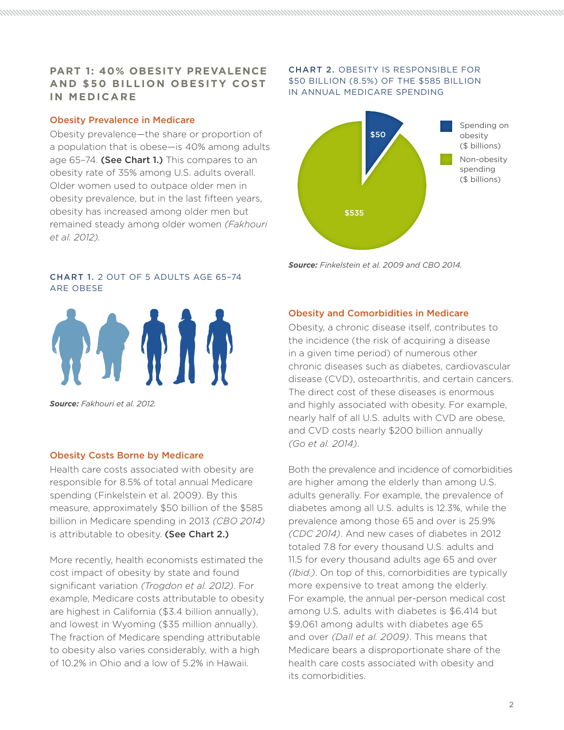## **PART 1: 40% OBESITY PREVALENCE AND \$50 BILLION OBESITY COST IN MEDICARE**

#### Obesity Prevalence in Medicare

Obesity prevalence—the share or proportion of a population that is obese—is 40% among adults age 65-74. (See Chart 1.) This compares to an obesity rate of 35% among U.S. adults overall. Older women used to outpace older men in obesity prevalence, but in the last fifteen years, obesity has increased among older men but remained steady among older women *(Fakhouri et al. 2012).*

#### CHART 1. 2 OUT OF 5 ADULTS AGE 65–74 ARE OBESE



*Source: Fakhouri et al. 2012.*

#### Obesity Costs Borne by Medicare

Health care costs associated with obesity are responsible for 8.5% of total annual Medicare spending (Finkelstein et al. 2009). By this measure, approximately \$50 billion of the \$585 billion in Medicare spending in 2013 *(CBO 2014)*  is attributable to obesity. (See Chart 2.)

More recently, health economists estimated the cost impact of obesity by state and found significant variation *(Trogdon et al. 2012)*. For example, Medicare costs attributable to obesity are highest in California (\$3.4 billion annually), and lowest in Wyoming (\$35 million annually). The fraction of Medicare spending attributable to obesity also varies considerably, with a high of 10.2% in Ohio and a low of 5.2% in Hawaii.

#### CHART 2. OBESITY IS RESPONSIBLE FOR \$50 BILLION (8.5%) OF THE \$585 BILLION IN ANNUAL MEDICARE SPENDING



*Source: Finkelstein et al. 2009 and CBO 2014.*

#### Obesity and Comorbidities in Medicare

Obesity, a chronic disease itself, contributes to the incidence (the risk of acquiring a disease in a given time period) of numerous other chronic diseases such as diabetes, cardiovascular disease (CVD), osteoarthritis, and certain cancers. The direct cost of these diseases is enormous and highly associated with obesity. For example, nearly half of all U.S. adults with CVD are obese, and CVD costs nearly \$200 billion annually *(Go et al. 2014)*.

Both the prevalence and incidence of comorbidities are higher among the elderly than among U.S. adults generally. For example, the prevalence of diabetes among all U.S. adults is 12.3%, while the prevalence among those 65 and over is 25.9% *(CDC 2014)*. And new cases of diabetes in 2012 totaled 7.8 for every thousand U.S. adults and 11.5 for every thousand adults age 65 and over *(Ibid.)*. On top of this, comorbidities are typically more expensive to treat among the elderly. For example, the annual per-person medical cost among U.S. adults with diabetes is \$6,414 but \$9,061 among adults with diabetes age 65 and over *(Dall et al. 2009)*. This means that Medicare bears a disproportionate share of the health care costs associated with obesity and its comorbidities.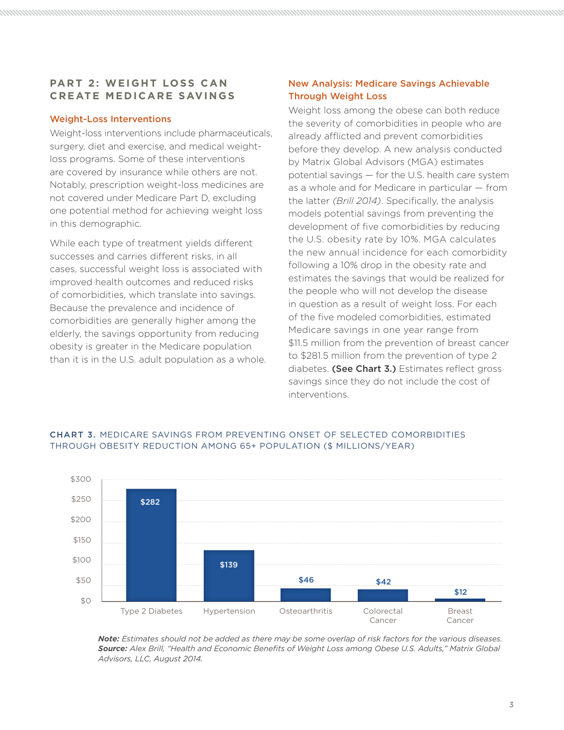## **PART 2: WEIGHT LOSS CAN CREATE MEDICARE SAVINGS**

#### Weight-Loss Interventions

Weight-loss interventions include pharmaceuticals, surgery, diet and exercise, and medical weightloss programs. Some of these interventions are covered by insurance while others are not. Notably, prescription weight-loss medicines are not covered under Medicare Part D, excluding one potential method for achieving weight loss in this demographic.

While each type of treatment yields different successes and carries different risks, in all cases, successful weight loss is associated with improved health outcomes and reduced risks of comorbidities, which translate into savings. Because the prevalence and incidence of comorbidities are generally higher among the elderly, the savings opportunity from reducing obesity is greater in the Medicare population than it is in the U.S. adult population as a whole.

## New Analysis: Medicare Savings Achievable Through Weight Loss

Weight loss among the obese can both reduce the severity of comorbidities in people who are already afflicted and prevent comorbidities before they develop. A new analysis conducted by Matrix Global Advisors (MGA) estimates potential savings — for the U.S. health care system as a whole and for Medicare in particular — from the latter *(Brill 2014)*. Specifically, the analysis models potential savings from preventing the development of five comorbidities by reducing the U.S. obesity rate by 10%. MGA calculates the new annual incidence for each comorbidity following a 10% drop in the obesity rate and estimates the savings that would be realized for the people who will not develop the disease in question as a result of weight loss. For each of the five modeled comorbidities, estimated Medicare savings in one year range from \$11.5 million from the prevention of breast cancer to \$281.5 million from the prevention of type 2 diabetes. (See Chart 3.) Estimates reflect gross savings since they do not include the cost of interventions.



#### CHART 3. MEDICARE SAVINGS FROM PREVENTING ONSET OF SELECTED COMORBIDITIES THROUGH OBESITY REDUCTION AMONG 65+ POPULATION (\$ MILLIONS/YEAR)

*Note: Estimates should not be added as there may be some overlap of risk factors for the various diseases. Source: Alex Brill, "Health and Economic Benefits of Weight Loss among Obese U.S. Adults," Matrix Global Advisors, LLC, August 2014.*